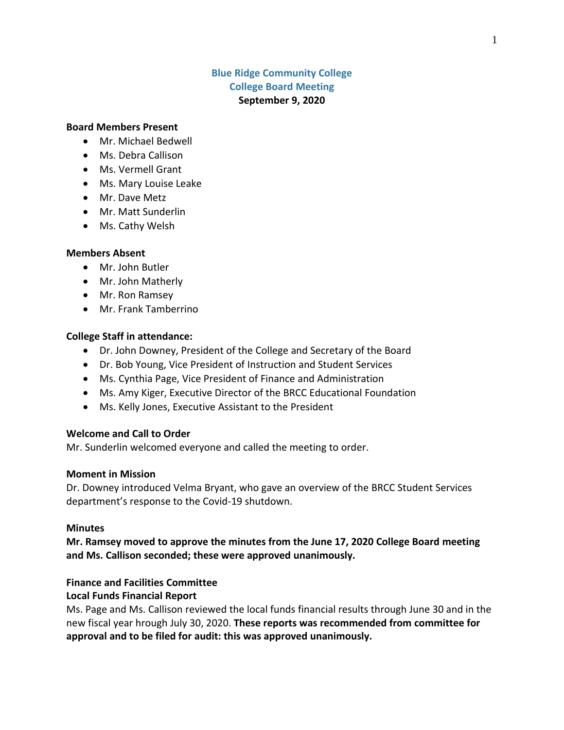# **Blue Ridge Community College College Board Meeting September 9, 2020**

#### **Board Members Present**

- Mr. Michael Bedwell
- Ms. Debra Callison
- Ms. Vermell Grant
- Ms. Mary Louise Leake
- Mr. Dave Metz
- Mr. Matt Sunderlin
- Ms. Cathy Welsh

#### **Members Absent**

- Mr. John Butler
- Mr. John Matherly
- Mr. Ron Ramsey
- Mr. Frank Tamberrino

#### **College Staff in attendance:**

- Dr. John Downey, President of the College and Secretary of the Board
- Dr. Bob Young, Vice President of Instruction and Student Services
- Ms. Cynthia Page, Vice President of Finance and Administration
- Ms. Amy Kiger, Executive Director of the BRCC Educational Foundation
- Ms. Kelly Jones, Executive Assistant to the President

#### **Welcome and Call to Order**

Mr. Sunderlin welcomed everyone and called the meeting to order.

#### **Moment in Mission**

Dr. Downey introduced Velma Bryant, who gave an overview of the BRCC Student Services department's response to the Covid-19 shutdown.

#### **Minutes**

**Mr. Ramsey moved to approve the minutes from the June 17, 2020 College Board meeting and Ms. Callison seconded; these were approved unanimously.**

### **Finance and Facilities Committee**

#### **Local Funds Financial Report**

Ms. Page and Ms. Callison reviewed the local funds financial results through June 30 and in the new fiscal year hrough July 30, 2020. **These reports was recommended from committee for approval and to be filed for audit: this was approved unanimously.**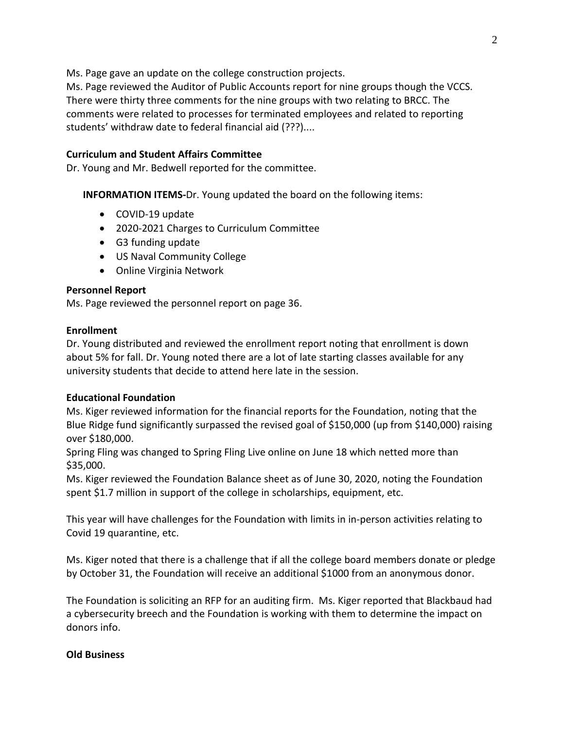Ms. Page gave an update on the college construction projects.

Ms. Page reviewed the Auditor of Public Accounts report for nine groups though the VCCS. There were thirty three comments for the nine groups with two relating to BRCC. The comments were related to processes for terminated employees and related to reporting students' withdraw date to federal financial aid (???)....

## **Curriculum and Student Affairs Committee**

Dr. Young and Mr. Bedwell reported for the committee.

**INFORMATION ITEMS-**Dr. Young updated the board on the following items:

- COVID-19 update
- 2020-2021 Charges to Curriculum Committee
- G3 funding update
- US Naval Community College
- Online Virginia Network

# **Personnel Report**

Ms. Page reviewed the personnel report on page 36.

## **Enrollment**

Dr. Young distributed and reviewed the enrollment report noting that enrollment is down about 5% for fall. Dr. Young noted there are a lot of late starting classes available for any university students that decide to attend here late in the session.

## **Educational Foundation**

Ms. Kiger reviewed information for the financial reports for the Foundation, noting that the Blue Ridge fund significantly surpassed the revised goal of \$150,000 (up from \$140,000) raising over \$180,000.

Spring Fling was changed to Spring Fling Live online on June 18 which netted more than \$35,000.

Ms. Kiger reviewed the Foundation Balance sheet as of June 30, 2020, noting the Foundation spent \$1.7 million in support of the college in scholarships, equipment, etc.

This year will have challenges for the Foundation with limits in in-person activities relating to Covid 19 quarantine, etc.

Ms. Kiger noted that there is a challenge that if all the college board members donate or pledge by October 31, the Foundation will receive an additional \$1000 from an anonymous donor.

The Foundation is soliciting an RFP for an auditing firm. Ms. Kiger reported that Blackbaud had a cybersecurity breech and the Foundation is working with them to determine the impact on donors info.

# **Old Business**